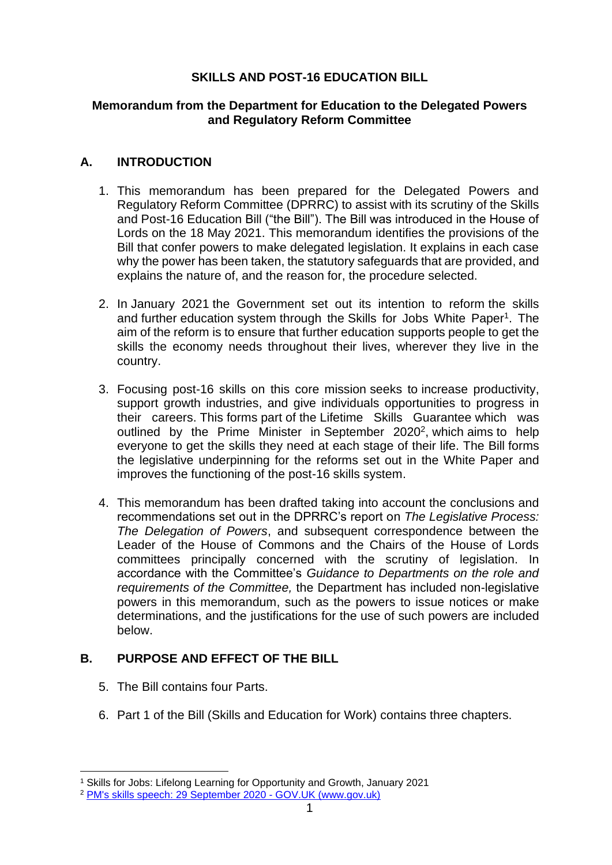# **SKILLS AND POST-16 EDUCATION BILL**

## **Memorandum from the Department for Education to the Delegated Powers and Regulatory Reform Committee**

# **A. INTRODUCTION**

- 1. This memorandum has been prepared for the Delegated Powers and Regulatory Reform Committee (DPRRC) to assist with its scrutiny of the Skills and Post-16 Education Bill ("the Bill"). The Bill was introduced in the House of Lords on the 18 May 2021. This memorandum identifies the provisions of the Bill that confer powers to make delegated legislation. It explains in each case why the power has been taken, the statutory safeguards that are provided, and explains the nature of, and the reason for, the procedure selected.
- 2. In January 2021 the Government set out its intention to reform the skills and further education system through the Skills for Jobs White Paper<sup>1</sup>. The aim of the reform is to ensure that further education supports people to get the skills the economy needs throughout their lives, wherever they live in the country.
- 3. Focusing post-16 skills on this core mission seeks to increase productivity, support growth industries, and give individuals opportunities to progress in their careers. This forms part of the Lifetime Skills Guarantee which was outlined by the Prime Minister in September 2020<sup>2</sup>, which aims to help everyone to get the skills they need at each stage of their life. The Bill forms the legislative underpinning for the reforms set out in the White Paper and improves the functioning of the post-16 skills system.
- 4. This memorandum has been drafted taking into account the conclusions and recommendations set out in the DPRRC's report on *The Legislative Process: The Delegation of Powers*, and subsequent correspondence between the Leader of the House of Commons and the Chairs of the House of Lords committees principally concerned with the scrutiny of legislation. In accordance with the Committee's *Guidance to Departments on the role and requirements of the Committee,* the Department has included non-legislative powers in this memorandum, such as the powers to issue notices or make determinations, and the justifications for the use of such powers are included below.

# **B. PURPOSE AND EFFECT OF THE BILL**

- 5. The Bill contains four Parts.
- 6. Part 1 of the Bill (Skills and Education for Work) contains three chapters.

<sup>1</sup> Skills for Jobs: Lifelong Learning for Opportunity and Growth, January 2021

<sup>2</sup> [PM's skills speech: 29 September 2020 -](https://www.gov.uk/government/speeches/pms-skills-speech-29-september-2020) GOV.UK (www.gov.uk)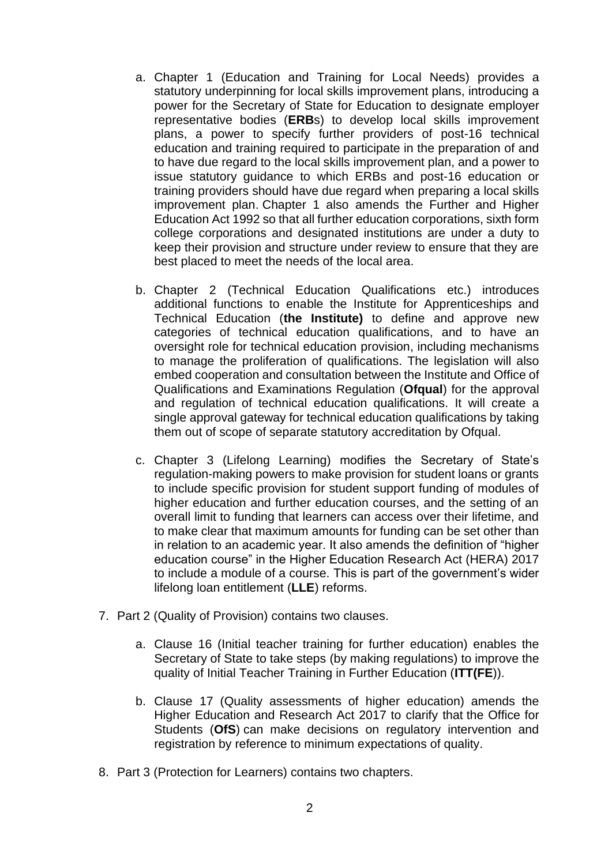- a. Chapter 1 (Education and Training for Local Needs) provides a statutory underpinning for local skills improvement plans, introducing a power for the Secretary of State for Education to designate employer representative bodies (**ERB**s) to develop local skills improvement plans, a power to specify further providers of post-16 technical education and training required to participate in the preparation of and to have due regard to the local skills improvement plan, and a power to issue statutory guidance to which ERBs and post-16 education or training providers should have due regard when preparing a local skills improvement plan. Chapter 1 also amends the Further and Higher Education Act 1992 so that all further education corporations, sixth form college corporations and designated institutions are under a duty to keep their provision and structure under review to ensure that they are best placed to meet the needs of the local area.
- b. Chapter 2 (Technical Education Qualifications etc.) introduces additional functions to enable the Institute for Apprenticeships and Technical Education (**the Institute)** to define and approve new categories of technical education qualifications, and to have an oversight role for technical education provision, including mechanisms to manage the proliferation of qualifications. The legislation will also embed cooperation and consultation between the Institute and Office of Qualifications and Examinations Regulation (**Ofqual**) for the approval and regulation of technical education qualifications. It will create a single approval gateway for technical education qualifications by taking them out of scope of separate statutory accreditation by Ofqual.
- c. Chapter 3 (Lifelong Learning) modifies the Secretary of State's regulation-making powers to make provision for student loans or grants to include specific provision for student support funding of modules of higher education and further education courses, and the setting of an overall limit to funding that learners can access over their lifetime, and to make clear that maximum amounts for funding can be set other than in relation to an academic year. It also amends the definition of "higher education course" in the Higher Education Research Act (HERA) 2017 to include a module of a course. This is part of the government's wider lifelong loan entitlement (**LLE**) reforms.
- 7. Part 2 (Quality of Provision) contains two clauses.
	- a. Clause 16 (Initial teacher training for further education) enables the Secretary of State to take steps (by making regulations) to improve the quality of Initial Teacher Training in Further Education (**ITT(FE**)).
	- b. Clause 17 (Quality assessments of higher education) amends the Higher Education and Research Act 2017 to clarify that the Office for Students (**OfS**) can make decisions on regulatory intervention and registration by reference to minimum expectations of quality.
- 8. Part 3 (Protection for Learners) contains two chapters.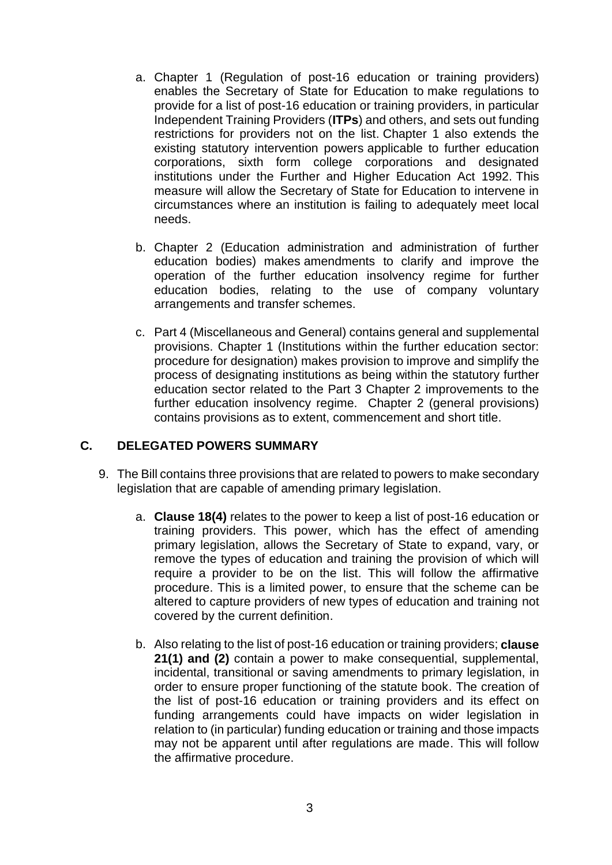- a. Chapter 1 (Regulation of post-16 education or training providers) enables the Secretary of State for Education to make regulations to provide for a list of post-16 education or training providers, in particular Independent Training Providers (**ITPs**) and others, and sets out funding restrictions for providers not on the list. Chapter 1 also extends the existing statutory intervention powers applicable to further education corporations, sixth form college corporations and designated institutions under the Further and Higher Education Act 1992. This measure will allow the Secretary of State for Education to intervene in circumstances where an institution is failing to adequately meet local needs.
- b. Chapter 2 (Education administration and administration of further education bodies) makes amendments to clarify and improve the operation of the further education insolvency regime for further education bodies, relating to the use of company voluntary arrangements and transfer schemes.
- c. Part 4 (Miscellaneous and General) contains general and supplemental provisions. Chapter 1 (Institutions within the further education sector: procedure for designation) makes provision to improve and simplify the process of designating institutions as being within the statutory further education sector related to the Part 3 Chapter 2 improvements to the further education insolvency regime. Chapter 2 (general provisions) contains provisions as to extent, commencement and short title.

## **C. DELEGATED POWERS SUMMARY**

- 9. The Bill contains three provisions that are related to powers to make secondary legislation that are capable of amending primary legislation.
	- a. **Clause 18(4)** relates to the power to keep a list of post-16 education or training providers. This power, which has the effect of amending primary legislation, allows the Secretary of State to expand, vary, or remove the types of education and training the provision of which will require a provider to be on the list. This will follow the affirmative procedure. This is a limited power, to ensure that the scheme can be altered to capture providers of new types of education and training not covered by the current definition.
	- b. Also relating to the list of post-16 education or training providers; **clause 21(1) and (2)** contain a power to make consequential, supplemental, incidental, transitional or saving amendments to primary legislation, in order to ensure proper functioning of the statute book. The creation of the list of post-16 education or training providers and its effect on funding arrangements could have impacts on wider legislation in relation to (in particular) funding education or training and those impacts may not be apparent until after regulations are made. This will follow the affirmative procedure.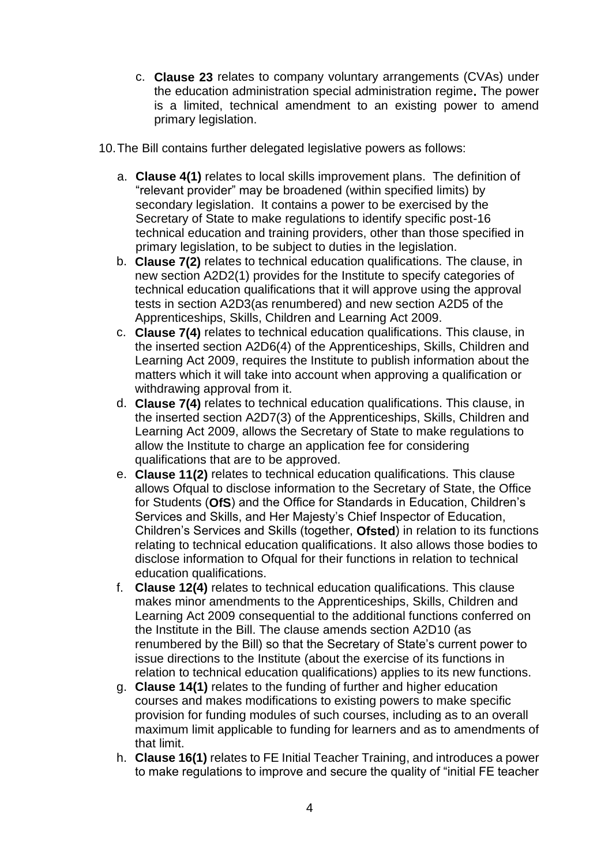- c. **Clause 23** relates to company voluntary arrangements (CVAs) under the education administration special administration regime**.** The power is a limited, technical amendment to an existing power to amend primary legislation.
- 10.The Bill contains further delegated legislative powers as follows:
	- a. **Clause 4(1)** relates to local skills improvement plans. The definition of "relevant provider" may be broadened (within specified limits) by secondary legislation. It contains a power to be exercised by the Secretary of State to make regulations to identify specific post-16 technical education and training providers, other than those specified in primary legislation, to be subject to duties in the legislation.
	- b. **Clause 7(2)** relates to technical education qualifications. The clause, in new section A2D2(1) provides for the Institute to specify categories of technical education qualifications that it will approve using the approval tests in section A2D3(as renumbered) and new section A2D5 of the Apprenticeships, Skills, Children and Learning Act 2009.
	- c. **Clause 7(4)** relates to technical education qualifications. This clause, in the inserted section A2D6(4) of the Apprenticeships, Skills, Children and Learning Act 2009, requires the Institute to publish information about the matters which it will take into account when approving a qualification or withdrawing approval from it.
	- d. **Clause 7(4)** relates to technical education qualifications. This clause, in the inserted section A2D7(3) of the Apprenticeships, Skills, Children and Learning Act 2009, allows the Secretary of State to make regulations to allow the Institute to charge an application fee for considering qualifications that are to be approved.
	- e. **Clause 11(2)** relates to technical education qualifications. This clause allows Ofqual to disclose information to the Secretary of State, the Office for Students (**OfS**) and the Office for Standards in Education, Children's Services and Skills, and Her Majesty's Chief Inspector of Education, Children's Services and Skills (together, **Ofsted**) in relation to its functions relating to technical education qualifications. It also allows those bodies to disclose information to Ofqual for their functions in relation to technical education qualifications.
	- f. **Clause 12(4)** relates to technical education qualifications. This clause makes minor amendments to the Apprenticeships, Skills, Children and Learning Act 2009 consequential to the additional functions conferred on the Institute in the Bill. The clause amends section A2D10 (as renumbered by the Bill) so that the Secretary of State's current power to issue directions to the Institute (about the exercise of its functions in relation to technical education qualifications) applies to its new functions.
	- g. **Clause 14(1)** relates to the funding of further and higher education courses and makes modifications to existing powers to make specific provision for funding modules of such courses, including as to an overall maximum limit applicable to funding for learners and as to amendments of that limit.
	- h. **Clause 16(1)** relates to FE Initial Teacher Training, and introduces a power to make regulations to improve and secure the quality of "initial FE teacher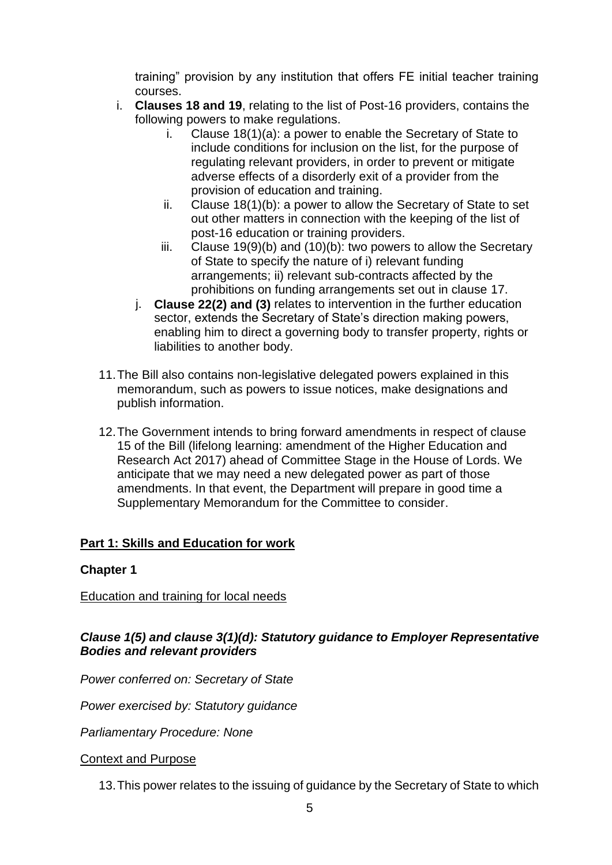training" provision by any institution that offers FE initial teacher training courses.

- i. **Clauses 18 and 19**, relating to the list of Post-16 providers, contains the following powers to make regulations.
	- i. Clause 18(1)(a): a power to enable the Secretary of State to include conditions for inclusion on the list, for the purpose of regulating relevant providers, in order to prevent or mitigate adverse effects of a disorderly exit of a provider from the provision of education and training.
	- ii. Clause 18(1)(b): a power to allow the Secretary of State to set out other matters in connection with the keeping of the list of post-16 education or training providers.
	- iii. Clause 19(9)(b) and (10)(b): two powers to allow the Secretary of State to specify the nature of i) relevant funding arrangements; ii) relevant sub-contracts affected by the prohibitions on funding arrangements set out in clause 17.
	- j. **Clause 22(2) and (3)** relates to intervention in the further education sector, extends the Secretary of State's direction making powers, enabling him to direct a governing body to transfer property, rights or liabilities to another body.
- 11.The Bill also contains non-legislative delegated powers explained in this memorandum, such as powers to issue notices, make designations and publish information.
- 12.The Government intends to bring forward amendments in respect of clause 15 of the Bill (lifelong learning: amendment of the Higher Education and Research Act 2017) ahead of Committee Stage in the House of Lords. We anticipate that we may need a new delegated power as part of those amendments. In that event, the Department will prepare in good time a Supplementary Memorandum for the Committee to consider.

# **Part 1: Skills and Education for work**

# **Chapter 1**

## Education and training for local needs

## *Clause 1(5) and clause 3(1)(d): Statutory guidance to Employer Representative Bodies and relevant providers*

*Power conferred on: Secretary of State*

*Power exercised by: Statutory guidance* 

*Parliamentary Procedure: None*

## Context and Purpose

13.This power relates to the issuing of guidance by the Secretary of State to which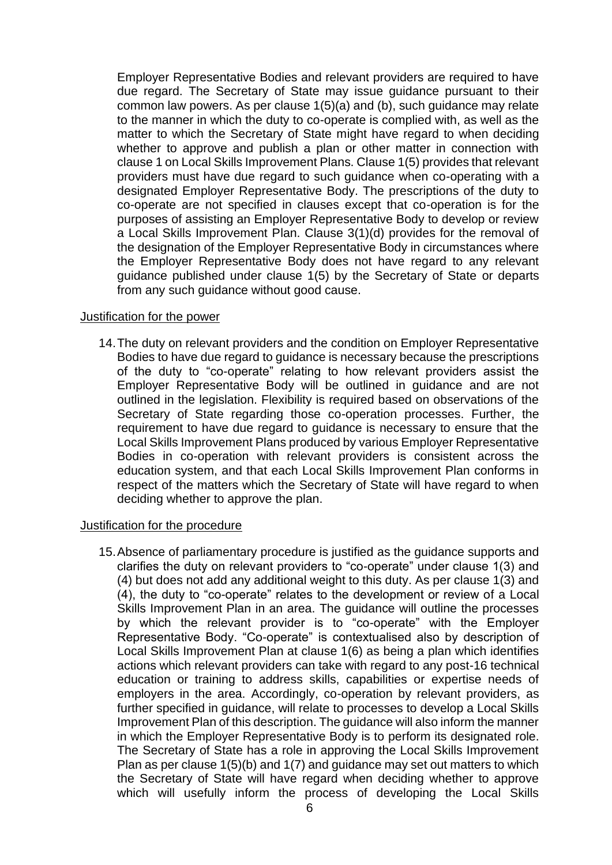Employer Representative Bodies and relevant providers are required to have due regard. The Secretary of State may issue guidance pursuant to their common law powers. As per clause 1(5)(a) and (b), such guidance may relate to the manner in which the duty to co-operate is complied with, as well as the matter to which the Secretary of State might have regard to when deciding whether to approve and publish a plan or other matter in connection with clause 1 on Local Skills Improvement Plans. Clause 1(5) provides that relevant providers must have due regard to such guidance when co-operating with a designated Employer Representative Body. The prescriptions of the duty to co-operate are not specified in clauses except that co-operation is for the purposes of assisting an Employer Representative Body to develop or review a Local Skills Improvement Plan. Clause 3(1)(d) provides for the removal of the designation of the Employer Representative Body in circumstances where the Employer Representative Body does not have regard to any relevant guidance published under clause 1(5) by the Secretary of State or departs from any such guidance without good cause.

#### Justification for the power

14.The duty on relevant providers and the condition on Employer Representative Bodies to have due regard to guidance is necessary because the prescriptions of the duty to "co-operate" relating to how relevant providers assist the Employer Representative Body will be outlined in guidance and are not outlined in the legislation. Flexibility is required based on observations of the Secretary of State regarding those co-operation processes. Further, the requirement to have due regard to guidance is necessary to ensure that the Local Skills Improvement Plans produced by various Employer Representative Bodies in co-operation with relevant providers is consistent across the education system, and that each Local Skills Improvement Plan conforms in respect of the matters which the Secretary of State will have regard to when deciding whether to approve the plan.

#### Justification for the procedure

15.Absence of parliamentary procedure is justified as the guidance supports and clarifies the duty on relevant providers to "co-operate" under clause 1(3) and (4) but does not add any additional weight to this duty. As per clause 1(3) and (4), the duty to "co-operate" relates to the development or review of a Local Skills Improvement Plan in an area. The guidance will outline the processes by which the relevant provider is to "co-operate" with the Employer Representative Body. "Co-operate" is contextualised also by description of Local Skills Improvement Plan at clause 1(6) as being a plan which identifies actions which relevant providers can take with regard to any post-16 technical education or training to address skills, capabilities or expertise needs of employers in the area. Accordingly, co-operation by relevant providers, as further specified in guidance, will relate to processes to develop a Local Skills Improvement Plan of this description. The guidance will also inform the manner in which the Employer Representative Body is to perform its designated role. The Secretary of State has a role in approving the Local Skills Improvement Plan as per clause 1(5)(b) and 1(7) and guidance may set out matters to which the Secretary of State will have regard when deciding whether to approve which will usefully inform the process of developing the Local Skills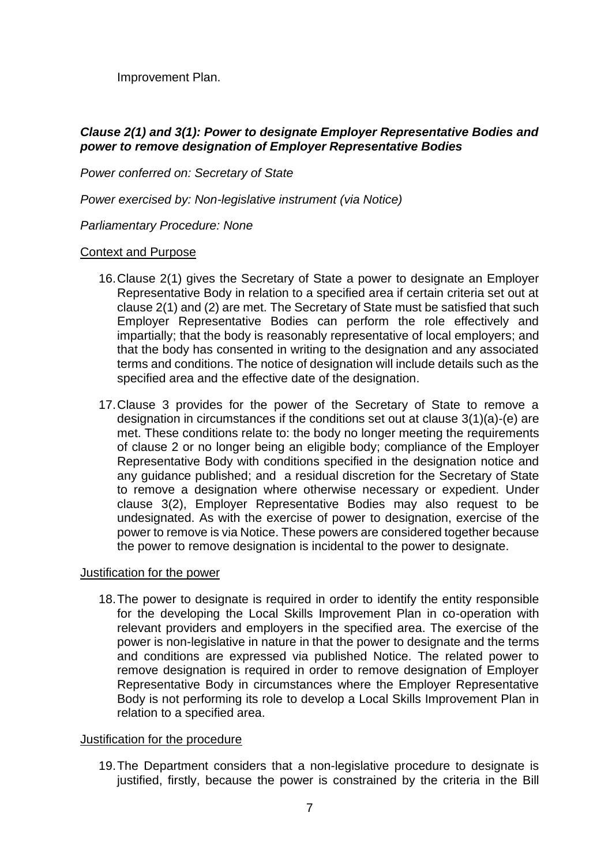Improvement Plan.

## *Clause 2(1) and 3(1): Power to designate Employer Representative Bodies and power to remove designation of Employer Representative Bodies*

*Power conferred on: Secretary of State*

*Power exercised by: Non-legislative instrument (via Notice)* 

### *Parliamentary Procedure: None*

### Context and Purpose

- 16.Clause 2(1) gives the Secretary of State a power to designate an Employer Representative Body in relation to a specified area if certain criteria set out at clause 2(1) and (2) are met. The Secretary of State must be satisfied that such Employer Representative Bodies can perform the role effectively and impartially; that the body is reasonably representative of local employers; and that the body has consented in writing to the designation and any associated terms and conditions. The notice of designation will include details such as the specified area and the effective date of the designation.
- 17.Clause 3 provides for the power of the Secretary of State to remove a designation in circumstances if the conditions set out at clause 3(1)(a)-(e) are met. These conditions relate to: the body no longer meeting the requirements of clause 2 or no longer being an eligible body; compliance of the Employer Representative Body with conditions specified in the designation notice and any guidance published; and a residual discretion for the Secretary of State to remove a designation where otherwise necessary or expedient. Under clause 3(2), Employer Representative Bodies may also request to be undesignated. As with the exercise of power to designation, exercise of the power to remove is via Notice. These powers are considered together because the power to remove designation is incidental to the power to designate.

#### Justification for the power

18.The power to designate is required in order to identify the entity responsible for the developing the Local Skills Improvement Plan in co-operation with relevant providers and employers in the specified area. The exercise of the power is non-legislative in nature in that the power to designate and the terms and conditions are expressed via published Notice. The related power to remove designation is required in order to remove designation of Employer Representative Body in circumstances where the Employer Representative Body is not performing its role to develop a Local Skills Improvement Plan in relation to a specified area.

#### Justification for the procedure

19.The Department considers that a non-legislative procedure to designate is justified, firstly, because the power is constrained by the criteria in the Bill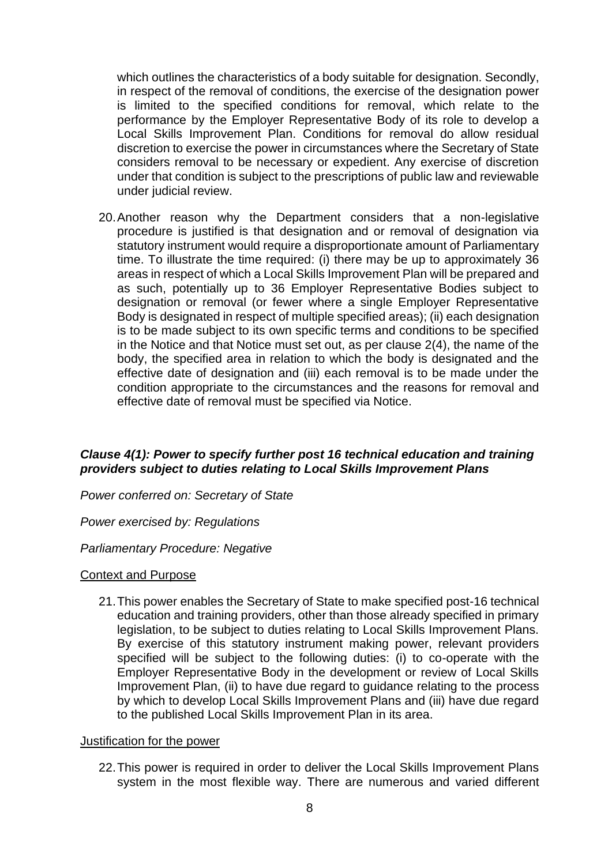which outlines the characteristics of a body suitable for designation. Secondly, in respect of the removal of conditions, the exercise of the designation power is limited to the specified conditions for removal, which relate to the performance by the Employer Representative Body of its role to develop a Local Skills Improvement Plan. Conditions for removal do allow residual discretion to exercise the power in circumstances where the Secretary of State considers removal to be necessary or expedient. Any exercise of discretion under that condition is subject to the prescriptions of public law and reviewable under judicial review.

20.Another reason why the Department considers that a non-legislative procedure is justified is that designation and or removal of designation via statutory instrument would require a disproportionate amount of Parliamentary time. To illustrate the time required: (i) there may be up to approximately 36 areas in respect of which a Local Skills Improvement Plan will be prepared and as such, potentially up to 36 Employer Representative Bodies subject to designation or removal (or fewer where a single Employer Representative Body is designated in respect of multiple specified areas); (ii) each designation is to be made subject to its own specific terms and conditions to be specified in the Notice and that Notice must set out, as per clause 2(4), the name of the body, the specified area in relation to which the body is designated and the effective date of designation and (iii) each removal is to be made under the condition appropriate to the circumstances and the reasons for removal and effective date of removal must be specified via Notice.

## *Clause 4(1): Power to specify further post 16 technical education and training providers subject to duties relating to Local Skills Improvement Plans*

*Power conferred on: Secretary of State*

*Power exercised by: Regulations*

#### *Parliamentary Procedure: Negative*

#### Context and Purpose

21.This power enables the Secretary of State to make specified post-16 technical education and training providers, other than those already specified in primary legislation, to be subject to duties relating to Local Skills Improvement Plans. By exercise of this statutory instrument making power, relevant providers specified will be subject to the following duties: (i) to co-operate with the Employer Representative Body in the development or review of Local Skills Improvement Plan, (ii) to have due regard to guidance relating to the process by which to develop Local Skills Improvement Plans and (iii) have due regard to the published Local Skills Improvement Plan in its area.

#### Justification for the power

22.This power is required in order to deliver the Local Skills Improvement Plans system in the most flexible way. There are numerous and varied different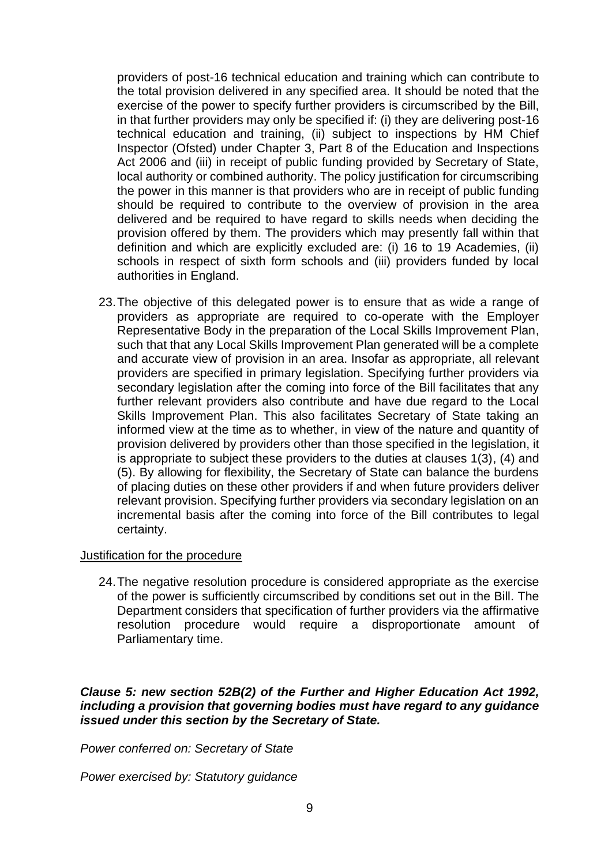providers of post-16 technical education and training which can contribute to the total provision delivered in any specified area. It should be noted that the exercise of the power to specify further providers is circumscribed by the Bill, in that further providers may only be specified if: (i) they are delivering post-16 technical education and training, (ii) subject to inspections by HM Chief Inspector (Ofsted) under Chapter 3, Part 8 of the Education and Inspections Act 2006 and (iii) in receipt of public funding provided by Secretary of State, local authority or combined authority. The policy justification for circumscribing the power in this manner is that providers who are in receipt of public funding should be required to contribute to the overview of provision in the area delivered and be required to have regard to skills needs when deciding the provision offered by them. The providers which may presently fall within that definition and which are explicitly excluded are: (i) 16 to 19 Academies, (ii) schools in respect of sixth form schools and (iii) providers funded by local authorities in England.

23.The objective of this delegated power is to ensure that as wide a range of providers as appropriate are required to co-operate with the Employer Representative Body in the preparation of the Local Skills Improvement Plan, such that that any Local Skills Improvement Plan generated will be a complete and accurate view of provision in an area. Insofar as appropriate, all relevant providers are specified in primary legislation. Specifying further providers via secondary legislation after the coming into force of the Bill facilitates that any further relevant providers also contribute and have due regard to the Local Skills Improvement Plan. This also facilitates Secretary of State taking an informed view at the time as to whether, in view of the nature and quantity of provision delivered by providers other than those specified in the legislation, it is appropriate to subject these providers to the duties at clauses 1(3), (4) and (5). By allowing for flexibility, the Secretary of State can balance the burdens of placing duties on these other providers if and when future providers deliver relevant provision. Specifying further providers via secondary legislation on an incremental basis after the coming into force of the Bill contributes to legal certainty.

#### Justification for the procedure

24.The negative resolution procedure is considered appropriate as the exercise of the power is sufficiently circumscribed by conditions set out in the Bill. The Department considers that specification of further providers via the affirmative resolution procedure would require a disproportionate amount of Parliamentary time.

## *Clause 5: new section 52B(2) of the Further and Higher Education Act 1992, including a provision that governing bodies must have regard to any guidance issued under this section by the Secretary of State.*

*Power conferred on: Secretary of State*

*Power exercised by: Statutory guidance*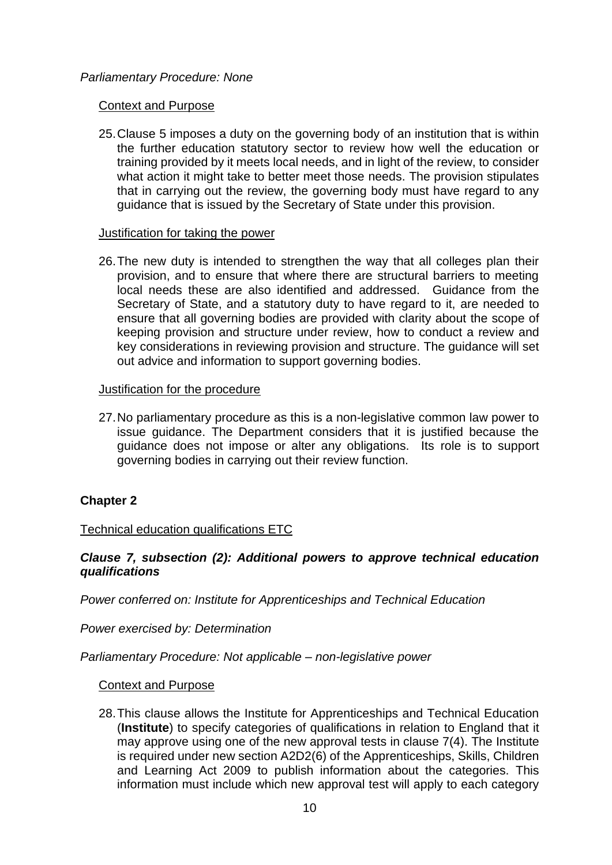## *Parliamentary Procedure: None*

### Context and Purpose

25.Clause 5 imposes a duty on the governing body of an institution that is within the further education statutory sector to review how well the education or training provided by it meets local needs, and in light of the review, to consider what action it might take to better meet those needs. The provision stipulates that in carrying out the review, the governing body must have regard to any guidance that is issued by the Secretary of State under this provision.

### Justification for taking the power

26.The new duty is intended to strengthen the way that all colleges plan their provision, and to ensure that where there are structural barriers to meeting local needs these are also identified and addressed. Guidance from the Secretary of State, and a statutory duty to have regard to it, are needed to ensure that all governing bodies are provided with clarity about the scope of keeping provision and structure under review, how to conduct a review and key considerations in reviewing provision and structure. The guidance will set out advice and information to support governing bodies.

### Justification for the procedure

27.No parliamentary procedure as this is a non-legislative common law power to issue guidance. The Department considers that it is justified because the guidance does not impose or alter any obligations. Its role is to support governing bodies in carrying out their review function.

# **Chapter 2**

## Technical education qualifications ETC

## *Clause 7, subsection (2): Additional powers to approve technical education qualifications*

*Power conferred on: Institute for Apprenticeships and Technical Education* 

*Power exercised by: Determination*

*Parliamentary Procedure: Not applicable – non-legislative power*

#### Context and Purpose

28.This clause allows the Institute for Apprenticeships and Technical Education (**Institute**) to specify categories of qualifications in relation to England that it may approve using one of the new approval tests in clause 7(4). The Institute is required under new section A2D2(6) of the Apprenticeships, Skills, Children and Learning Act 2009 to publish information about the categories. This information must include which new approval test will apply to each category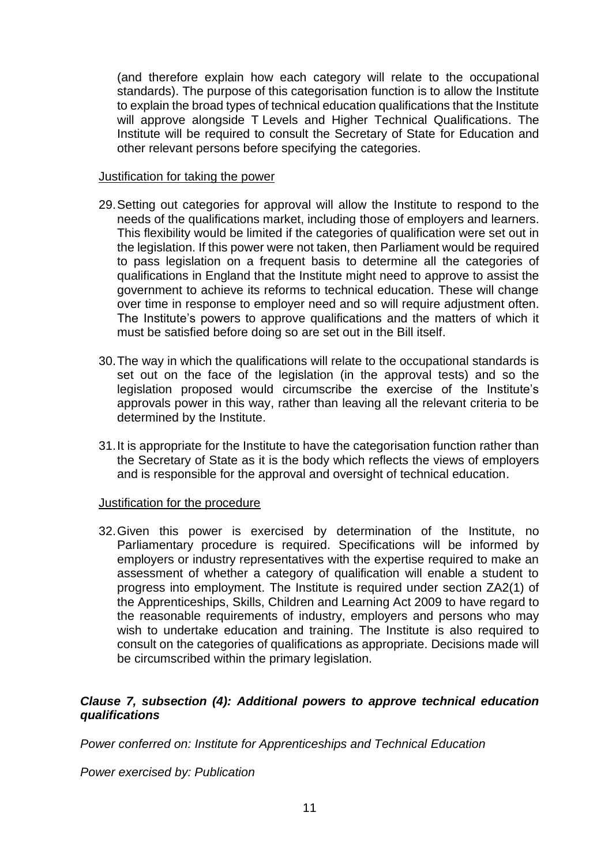(and therefore explain how each category will relate to the occupational standards). The purpose of this categorisation function is to allow the Institute to explain the broad types of technical education qualifications that the Institute will approve alongside T Levels and Higher Technical Qualifications. The Institute will be required to consult the Secretary of State for Education and other relevant persons before specifying the categories.

### Justification for taking the power

- 29.Setting out categories for approval will allow the Institute to respond to the needs of the qualifications market, including those of employers and learners. This flexibility would be limited if the categories of qualification were set out in the legislation. If this power were not taken, then Parliament would be required to pass legislation on a frequent basis to determine all the categories of qualifications in England that the Institute might need to approve to assist the government to achieve its reforms to technical education. These will change over time in response to employer need and so will require adjustment often. The Institute's powers to approve qualifications and the matters of which it must be satisfied before doing so are set out in the Bill itself.
- 30.The way in which the qualifications will relate to the occupational standards is set out on the face of the legislation (in the approval tests) and so the legislation proposed would circumscribe the exercise of the Institute's approvals power in this way, rather than leaving all the relevant criteria to be determined by the Institute.
- 31.It is appropriate for the Institute to have the categorisation function rather than the Secretary of State as it is the body which reflects the views of employers and is responsible for the approval and oversight of technical education.

## Justification for the procedure

32.Given this power is exercised by determination of the Institute, no Parliamentary procedure is required. Specifications will be informed by employers or industry representatives with the expertise required to make an assessment of whether a category of qualification will enable a student to progress into employment. The Institute is required under section ZA2(1) of the Apprenticeships, Skills, Children and Learning Act 2009 to have regard to the reasonable requirements of industry, employers and persons who may wish to undertake education and training. The Institute is also required to consult on the categories of qualifications as appropriate. Decisions made will be circumscribed within the primary legislation.

## *Clause 7, subsection (4): Additional powers to approve technical education qualifications*

*Power conferred on: Institute for Apprenticeships and Technical Education*

*Power exercised by: Publication*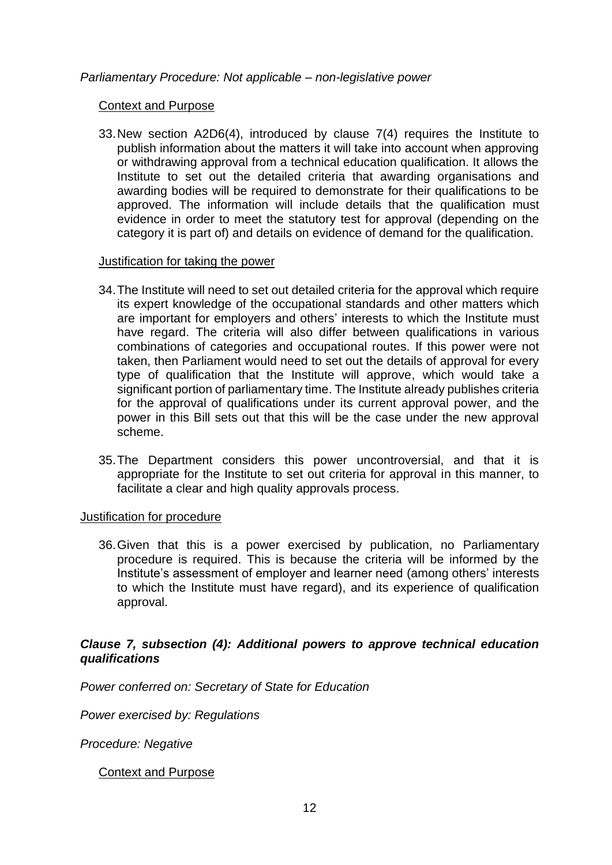*Parliamentary Procedure: Not applicable – non-legislative power*

Context and Purpose

33.New section A2D6(4), introduced by clause 7(4) requires the Institute to publish information about the matters it will take into account when approving or withdrawing approval from a technical education qualification. It allows the Institute to set out the detailed criteria that awarding organisations and awarding bodies will be required to demonstrate for their qualifications to be approved. The information will include details that the qualification must evidence in order to meet the statutory test for approval (depending on the category it is part of) and details on evidence of demand for the qualification.

#### Justification for taking the power

- 34.The Institute will need to set out detailed criteria for the approval which require its expert knowledge of the occupational standards and other matters which are important for employers and others' interests to which the Institute must have regard. The criteria will also differ between qualifications in various combinations of categories and occupational routes. If this power were not taken, then Parliament would need to set out the details of approval for every type of qualification that the Institute will approve, which would take a significant portion of parliamentary time. The Institute already publishes criteria for the approval of qualifications under its current approval power, and the power in this Bill sets out that this will be the case under the new approval scheme.
- 35.The Department considers this power uncontroversial, and that it is appropriate for the Institute to set out criteria for approval in this manner, to facilitate a clear and high quality approvals process.

#### Justification for procedure

36.Given that this is a power exercised by publication, no Parliamentary procedure is required. This is because the criteria will be informed by the Institute's assessment of employer and learner need (among others' interests to which the Institute must have regard), and its experience of qualification approval.

## *Clause 7, subsection (4): Additional powers to approve technical education qualifications*

*Power conferred on: Secretary of State for Education*

*Power exercised by: Regulations*

*Procedure: Negative*

Context and Purpose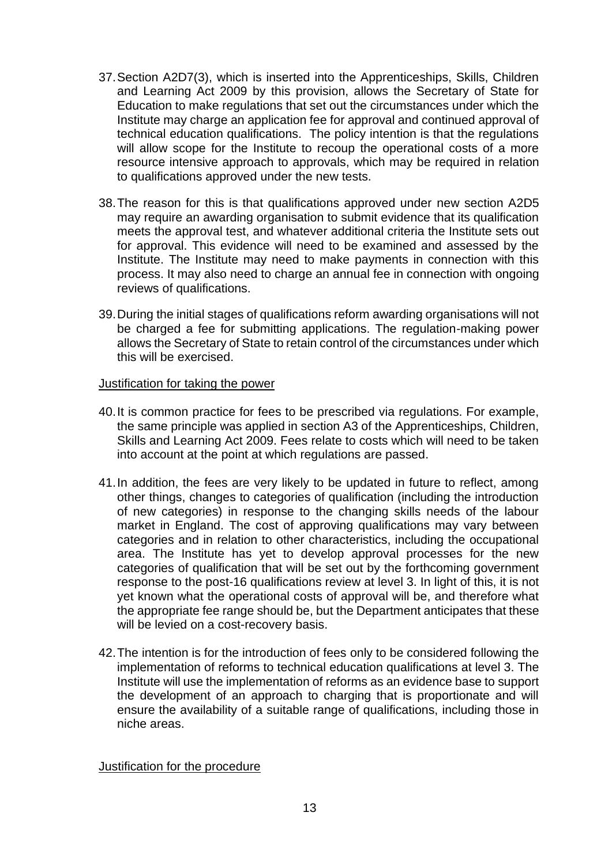- 37.Section A2D7(3), which is inserted into the Apprenticeships, Skills, Children and Learning Act 2009 by this provision, allows the Secretary of State for Education to make regulations that set out the circumstances under which the Institute may charge an application fee for approval and continued approval of technical education qualifications. The policy intention is that the regulations will allow scope for the Institute to recoup the operational costs of a more resource intensive approach to approvals, which may be required in relation to qualifications approved under the new tests.
- 38.The reason for this is that qualifications approved under new section A2D5 may require an awarding organisation to submit evidence that its qualification meets the approval test, and whatever additional criteria the Institute sets out for approval. This evidence will need to be examined and assessed by the Institute. The Institute may need to make payments in connection with this process. It may also need to charge an annual fee in connection with ongoing reviews of qualifications.
- 39.During the initial stages of qualifications reform awarding organisations will not be charged a fee for submitting applications. The regulation-making power allows the Secretary of State to retain control of the circumstances under which this will be exercised.

### Justification for taking the power

- 40.It is common practice for fees to be prescribed via regulations. For example, the same principle was applied in section A3 of the Apprenticeships, Children, Skills and Learning Act 2009. Fees relate to costs which will need to be taken into account at the point at which regulations are passed.
- 41.In addition, the fees are very likely to be updated in future to reflect, among other things, changes to categories of qualification (including the introduction of new categories) in response to the changing skills needs of the labour market in England. The cost of approving qualifications may vary between categories and in relation to other characteristics, including the occupational area. The Institute has yet to develop approval processes for the new categories of qualification that will be set out by the forthcoming government response to the post-16 qualifications review at level 3. In light of this, it is not yet known what the operational costs of approval will be, and therefore what the appropriate fee range should be, but the Department anticipates that these will be levied on a cost-recovery basis.
- 42.The intention is for the introduction of fees only to be considered following the implementation of reforms to technical education qualifications at level 3. The Institute will use the implementation of reforms as an evidence base to support the development of an approach to charging that is proportionate and will ensure the availability of a suitable range of qualifications, including those in niche areas.

#### Justification for the procedure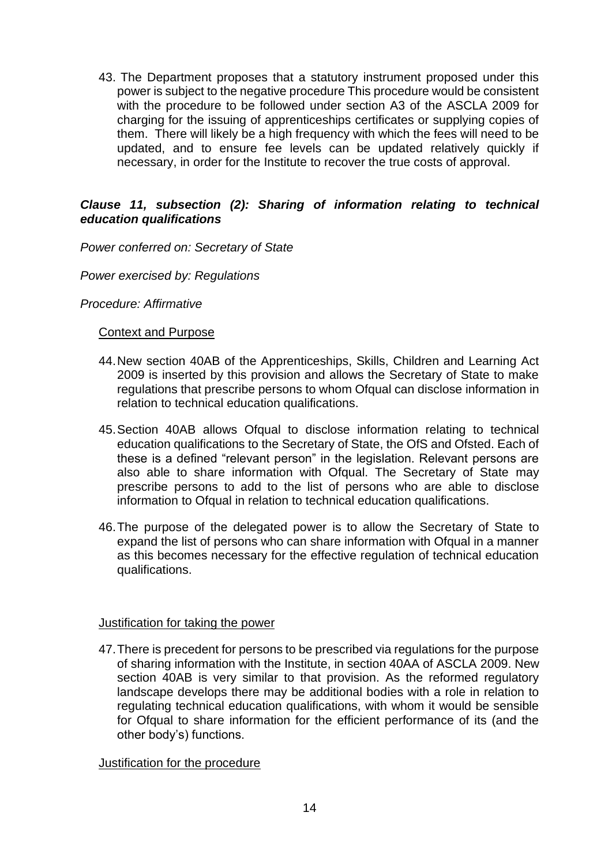43. The Department proposes that a statutory instrument proposed under this power is subject to the negative procedure This procedure would be consistent with the procedure to be followed under section A3 of the ASCLA 2009 for charging for the issuing of apprenticeships certificates or supplying copies of them. There will likely be a high frequency with which the fees will need to be updated, and to ensure fee levels can be updated relatively quickly if necessary, in order for the Institute to recover the true costs of approval.

## *Clause 11, subsection (2): Sharing of information relating to technical education qualifications*

*Power conferred on: Secretary of State* 

*Power exercised by: Regulations*

*Procedure: Affirmative* 

#### Context and Purpose

- 44.New section 40AB of the Apprenticeships, Skills, Children and Learning Act 2009 is inserted by this provision and allows the Secretary of State to make regulations that prescribe persons to whom Ofqual can disclose information in relation to technical education qualifications.
- 45.Section 40AB allows Ofqual to disclose information relating to technical education qualifications to the Secretary of State, the OfS and Ofsted. Each of these is a defined "relevant person" in the legislation. Relevant persons are also able to share information with Ofqual. The Secretary of State may prescribe persons to add to the list of persons who are able to disclose information to Ofqual in relation to technical education qualifications.
- 46.The purpose of the delegated power is to allow the Secretary of State to expand the list of persons who can share information with Ofqual in a manner as this becomes necessary for the effective regulation of technical education qualifications.

#### Justification for taking the power

47.There is precedent for persons to be prescribed via regulations for the purpose of sharing information with the Institute, in section 40AA of ASCLA 2009. New section 40AB is very similar to that provision. As the reformed regulatory landscape develops there may be additional bodies with a role in relation to regulating technical education qualifications, with whom it would be sensible for Ofqual to share information for the efficient performance of its (and the other body's) functions.

#### Justification for the procedure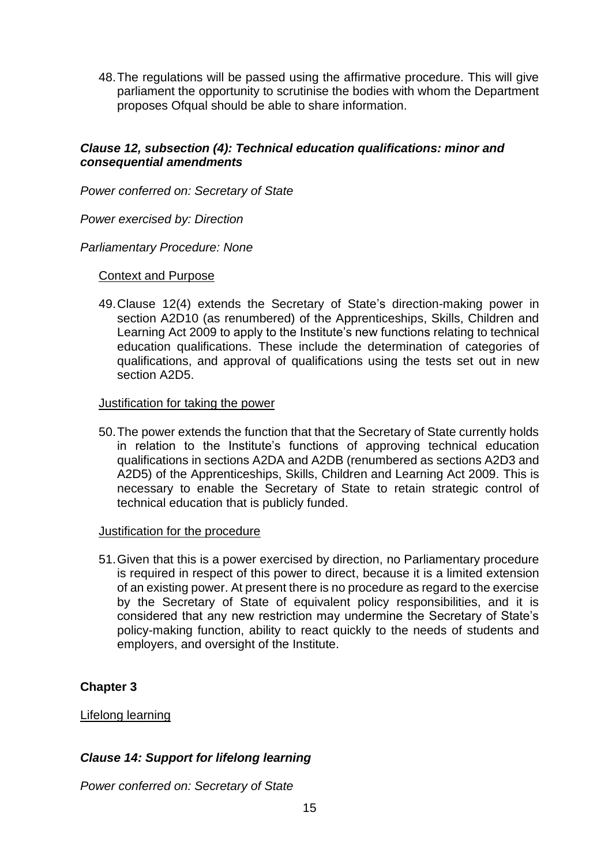48.The regulations will be passed using the affirmative procedure. This will give parliament the opportunity to scrutinise the bodies with whom the Department proposes Ofqual should be able to share information.

## *Clause 12, subsection (4): Technical education qualifications: minor and consequential amendments*

*Power conferred on: Secretary of State*

*Power exercised by: Direction*

#### *Parliamentary Procedure: None*

### Context and Purpose

49.Clause 12(4) extends the Secretary of State's direction-making power in section A2D10 (as renumbered) of the Apprenticeships, Skills, Children and Learning Act 2009 to apply to the Institute's new functions relating to technical education qualifications. These include the determination of categories of qualifications, and approval of qualifications using the tests set out in new section A2D5.

#### Justification for taking the power

50.The power extends the function that that the Secretary of State currently holds in relation to the Institute's functions of approving technical education qualifications in sections A2DA and A2DB (renumbered as sections A2D3 and A2D5) of the Apprenticeships, Skills, Children and Learning Act 2009. This is necessary to enable the Secretary of State to retain strategic control of technical education that is publicly funded.

#### Justification for the procedure

51.Given that this is a power exercised by direction, no Parliamentary procedure is required in respect of this power to direct, because it is a limited extension of an existing power. At present there is no procedure as regard to the exercise by the Secretary of State of equivalent policy responsibilities, and it is considered that any new restriction may undermine the Secretary of State's policy-making function, ability to react quickly to the needs of students and employers, and oversight of the Institute.

## **Chapter 3**

## Lifelong learning

## *Clause 14: Support for lifelong learning*

*Power conferred on: Secretary of State*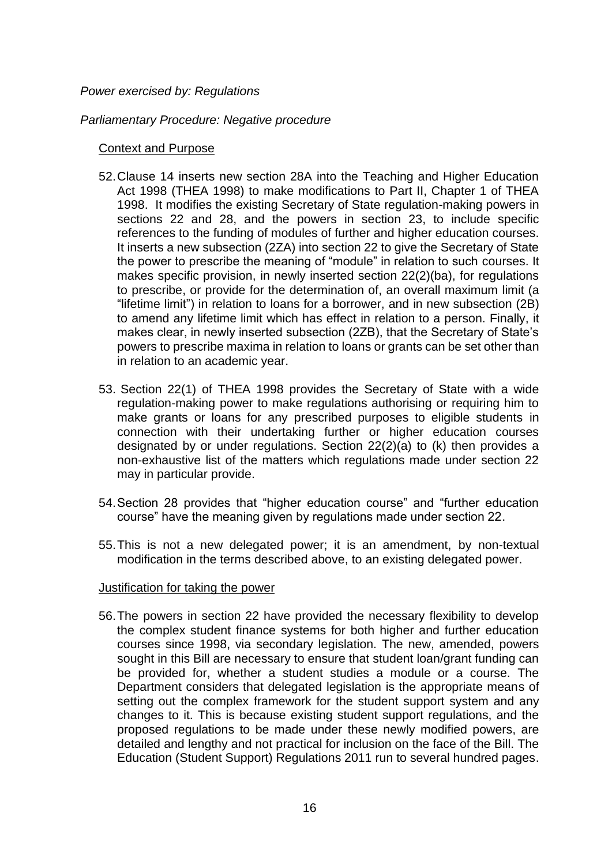### *Power exercised by: Regulations*

### *Parliamentary Procedure: Negative procedure*

### Context and Purpose

- 52.Clause 14 inserts new section 28A into the Teaching and Higher Education Act 1998 (THEA 1998) to make modifications to Part II, Chapter 1 of THEA 1998. It modifies the existing Secretary of State regulation-making powers in sections 22 and 28, and the powers in section 23, to include specific references to the funding of modules of further and higher education courses. It inserts a new subsection (2ZA) into section 22 to give the Secretary of State the power to prescribe the meaning of "module" in relation to such courses. It makes specific provision, in newly inserted section 22(2)(ba), for regulations to prescribe, or provide for the determination of, an overall maximum limit (a "lifetime limit") in relation to loans for a borrower, and in new subsection (2B) to amend any lifetime limit which has effect in relation to a person. Finally, it makes clear, in newly inserted subsection (2ZB), that the Secretary of State's powers to prescribe maxima in relation to loans or grants can be set other than in relation to an academic year.
- 53. Section 22(1) of THEA 1998 provides the Secretary of State with a wide regulation-making power to make regulations authorising or requiring him to make grants or loans for any prescribed purposes to eligible students in connection with their undertaking further or higher education courses designated by or under regulations. Section 22(2)(a) to (k) then provides a non-exhaustive list of the matters which regulations made under section 22 may in particular provide.
- 54.Section 28 provides that "higher education course" and "further education course" have the meaning given by regulations made under section 22.
- 55.This is not a new delegated power; it is an amendment, by non-textual modification in the terms described above, to an existing delegated power.

#### Justification for taking the power

56.The powers in section 22 have provided the necessary flexibility to develop the complex student finance systems for both higher and further education courses since 1998, via secondary legislation. The new, amended, powers sought in this Bill are necessary to ensure that student loan/grant funding can be provided for, whether a student studies a module or a course. The Department considers that delegated legislation is the appropriate means of setting out the complex framework for the student support system and any changes to it. This is because existing student support regulations, and the proposed regulations to be made under these newly modified powers, are detailed and lengthy and not practical for inclusion on the face of the Bill. The Education (Student Support) Regulations 2011 run to several hundred pages.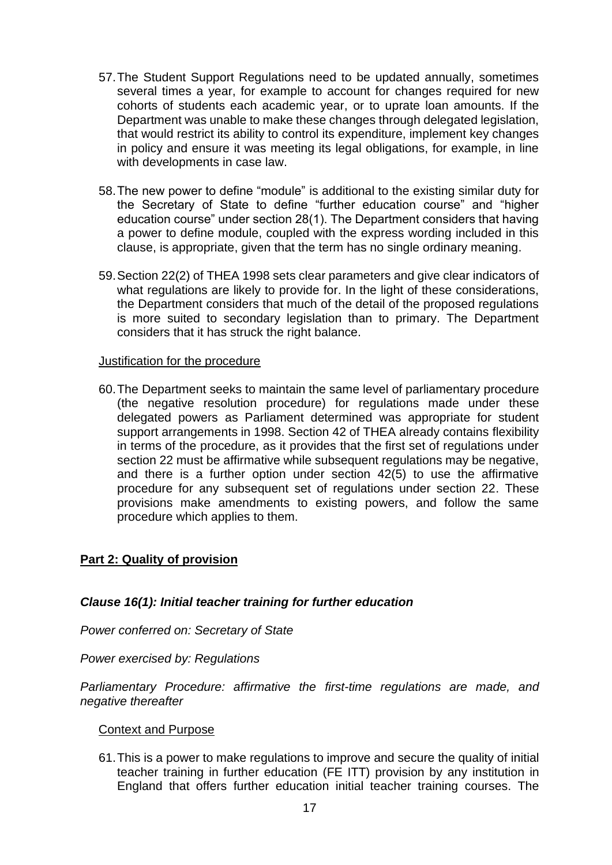- 57.The Student Support Regulations need to be updated annually, sometimes several times a year, for example to account for changes required for new cohorts of students each academic year, or to uprate loan amounts. If the Department was unable to make these changes through delegated legislation, that would restrict its ability to control its expenditure, implement key changes in policy and ensure it was meeting its legal obligations, for example, in line with developments in case law.
- 58.The new power to define "module" is additional to the existing similar duty for the Secretary of State to define "further education course" and "higher education course" under section 28(1). The Department considers that having a power to define module, coupled with the express wording included in this clause, is appropriate, given that the term has no single ordinary meaning.
- 59.Section 22(2) of THEA 1998 sets clear parameters and give clear indicators of what regulations are likely to provide for. In the light of these considerations, the Department considers that much of the detail of the proposed regulations is more suited to secondary legislation than to primary. The Department considers that it has struck the right balance.

### Justification for the procedure

60.The Department seeks to maintain the same level of parliamentary procedure (the negative resolution procedure) for regulations made under these delegated powers as Parliament determined was appropriate for student support arrangements in 1998. Section 42 of THEA already contains flexibility in terms of the procedure, as it provides that the first set of regulations under section 22 must be affirmative while subsequent regulations may be negative, and there is a further option under section 42(5) to use the affirmative procedure for any subsequent set of regulations under section 22. These provisions make amendments to existing powers, and follow the same procedure which applies to them.

## **Part 2: Quality of provision**

## *Clause 16(1): Initial teacher training for further education*

*Power conferred on: Secretary of State*

*Power exercised by: Regulations*

*Parliamentary Procedure: affirmative the first-time regulations are made, and negative thereafter*

## Context and Purpose

61.This is a power to make regulations to improve and secure the quality of initial teacher training in further education (FE ITT) provision by any institution in England that offers further education initial teacher training courses. The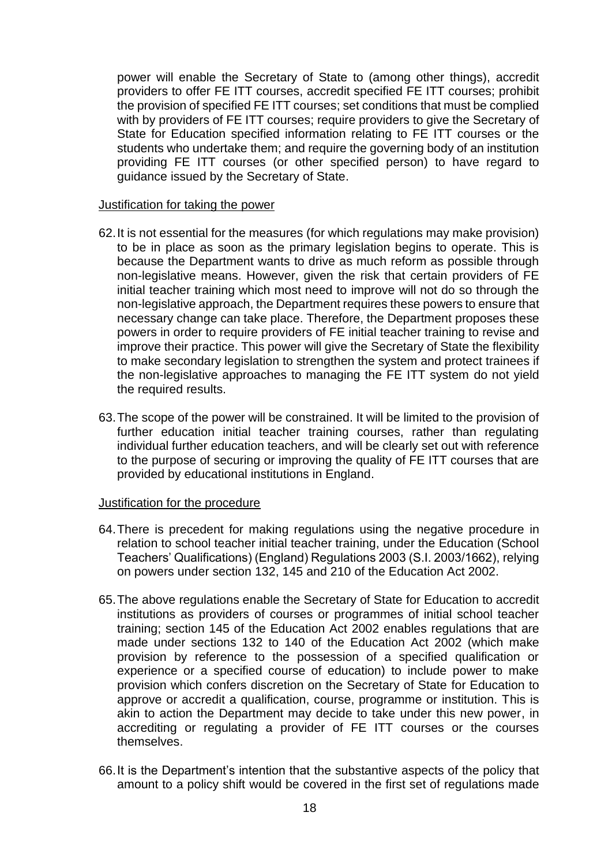power will enable the Secretary of State to (among other things), accredit providers to offer FE ITT courses, accredit specified FE ITT courses; prohibit the provision of specified FE ITT courses; set conditions that must be complied with by providers of FE ITT courses; require providers to give the Secretary of State for Education specified information relating to FE ITT courses or the students who undertake them; and require the governing body of an institution providing FE ITT courses (or other specified person) to have regard to guidance issued by the Secretary of State.

#### Justification for taking the power

- 62.It is not essential for the measures (for which regulations may make provision) to be in place as soon as the primary legislation begins to operate. This is because the Department wants to drive as much reform as possible through non-legislative means. However, given the risk that certain providers of FE initial teacher training which most need to improve will not do so through the non-legislative approach, the Department requires these powers to ensure that necessary change can take place. Therefore, the Department proposes these powers in order to require providers of FE initial teacher training to revise and improve their practice. This power will give the Secretary of State the flexibility to make secondary legislation to strengthen the system and protect trainees if the non-legislative approaches to managing the FE ITT system do not yield the required results.
- 63.The scope of the power will be constrained. It will be limited to the provision of further education initial teacher training courses, rather than regulating individual further education teachers, and will be clearly set out with reference to the purpose of securing or improving the quality of FE ITT courses that are provided by educational institutions in England.

#### Justification for the procedure

- 64.There is precedent for making regulations using the negative procedure in relation to school teacher initial teacher training, under the Education (School Teachers' Qualifications) (England) Regulations 2003 (S.I. 2003/1662), relying on powers under section 132, 145 and 210 of the Education Act 2002.
- 65.The above regulations enable the Secretary of State for Education to accredit institutions as providers of courses or programmes of initial school teacher training; section 145 of the Education Act 2002 enables regulations that are made under sections 132 to 140 of the Education Act 2002 (which make provision by reference to the possession of a specified qualification or experience or a specified course of education) to include power to make provision which confers discretion on the Secretary of State for Education to approve or accredit a qualification, course, programme or institution. This is akin to action the Department may decide to take under this new power, in accrediting or regulating a provider of FE ITT courses or the courses themselves.
- 66.It is the Department's intention that the substantive aspects of the policy that amount to a policy shift would be covered in the first set of regulations made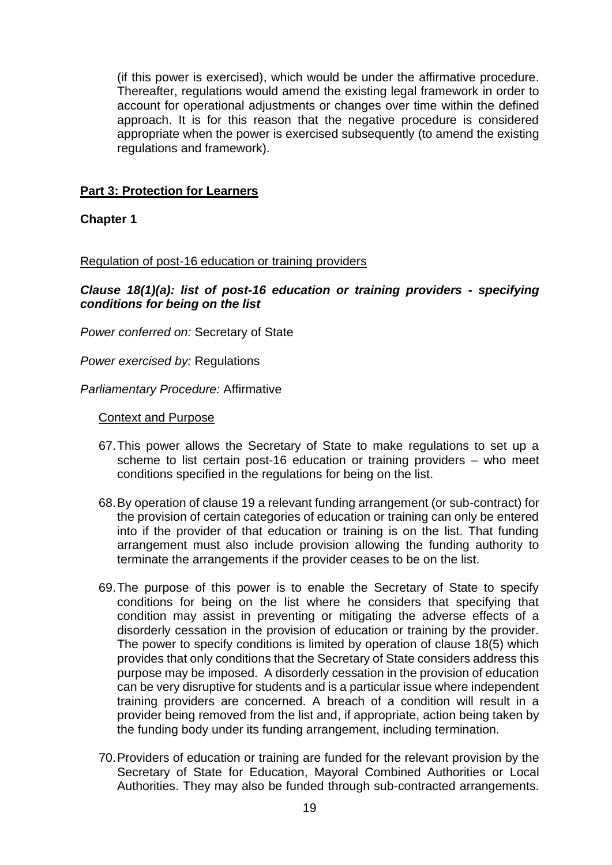(if this power is exercised), which would be under the affirmative procedure. Thereafter, regulations would amend the existing legal framework in order to account for operational adjustments or changes over time within the defined approach. It is for this reason that the negative procedure is considered appropriate when the power is exercised subsequently (to amend the existing regulations and framework).

## **Part 3: Protection for Learners**

**Chapter 1**

## Regulation of post-16 education or training providers

*Clause 18(1)(a): list of post-16 education or training providers - specifying conditions for being on the list*

*Power conferred on:* Secretary of State

*Power exercised by:* Regulations

*Parliamentary Procedure:* Affirmative

### Context and Purpose

- 67.This power allows the Secretary of State to make regulations to set up a scheme to list certain post-16 education or training providers – who meet conditions specified in the regulations for being on the list.
- 68.By operation of clause 19 a relevant funding arrangement (or sub-contract) for the provision of certain categories of education or training can only be entered into if the provider of that education or training is on the list. That funding arrangement must also include provision allowing the funding authority to terminate the arrangements if the provider ceases to be on the list.
- 69.The purpose of this power is to enable the Secretary of State to specify conditions for being on the list where he considers that specifying that condition may assist in preventing or mitigating the adverse effects of a disorderly cessation in the provision of education or training by the provider. The power to specify conditions is limited by operation of clause 18(5) which provides that only conditions that the Secretary of State considers address this purpose may be imposed. A disorderly cessation in the provision of education can be very disruptive for students and is a particular issue where independent training providers are concerned. A breach of a condition will result in a provider being removed from the list and, if appropriate, action being taken by the funding body under its funding arrangement, including termination.
- 70.Providers of education or training are funded for the relevant provision by the Secretary of State for Education, Mayoral Combined Authorities or Local Authorities. They may also be funded through sub-contracted arrangements.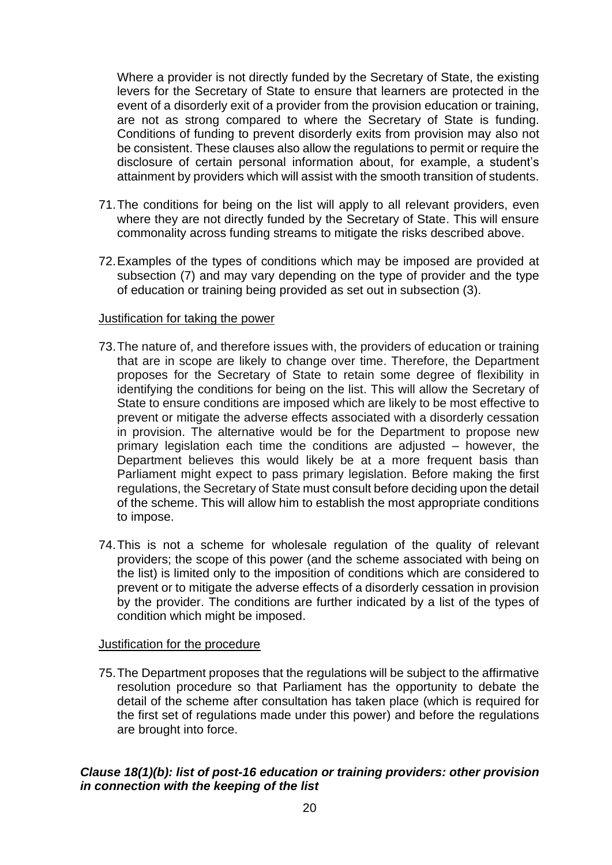Where a provider is not directly funded by the Secretary of State, the existing levers for the Secretary of State to ensure that learners are protected in the event of a disorderly exit of a provider from the provision education or training, are not as strong compared to where the Secretary of State is funding. Conditions of funding to prevent disorderly exits from provision may also not be consistent. These clauses also allow the regulations to permit or require the disclosure of certain personal information about, for example, a student's attainment by providers which will assist with the smooth transition of students.

- 71.The conditions for being on the list will apply to all relevant providers, even where they are not directly funded by the Secretary of State. This will ensure commonality across funding streams to mitigate the risks described above.
- 72.Examples of the types of conditions which may be imposed are provided at subsection (7) and may vary depending on the type of provider and the type of education or training being provided as set out in subsection (3).

#### Justification for taking the power

- 73.The nature of, and therefore issues with, the providers of education or training that are in scope are likely to change over time. Therefore, the Department proposes for the Secretary of State to retain some degree of flexibility in identifying the conditions for being on the list. This will allow the Secretary of State to ensure conditions are imposed which are likely to be most effective to prevent or mitigate the adverse effects associated with a disorderly cessation in provision. The alternative would be for the Department to propose new primary legislation each time the conditions are adjusted – however, the Department believes this would likely be at a more frequent basis than Parliament might expect to pass primary legislation. Before making the first regulations, the Secretary of State must consult before deciding upon the detail of the scheme. This will allow him to establish the most appropriate conditions to impose.
- 74.This is not a scheme for wholesale regulation of the quality of relevant providers; the scope of this power (and the scheme associated with being on the list) is limited only to the imposition of conditions which are considered to prevent or to mitigate the adverse effects of a disorderly cessation in provision by the provider. The conditions are further indicated by a list of the types of condition which might be imposed.

## Justification for the procedure

75.The Department proposes that the regulations will be subject to the affirmative resolution procedure so that Parliament has the opportunity to debate the detail of the scheme after consultation has taken place (which is required for the first set of regulations made under this power) and before the regulations are brought into force.

## *Clause 18(1)(b): list of post-16 education or training providers: other provision in connection with the keeping of the list*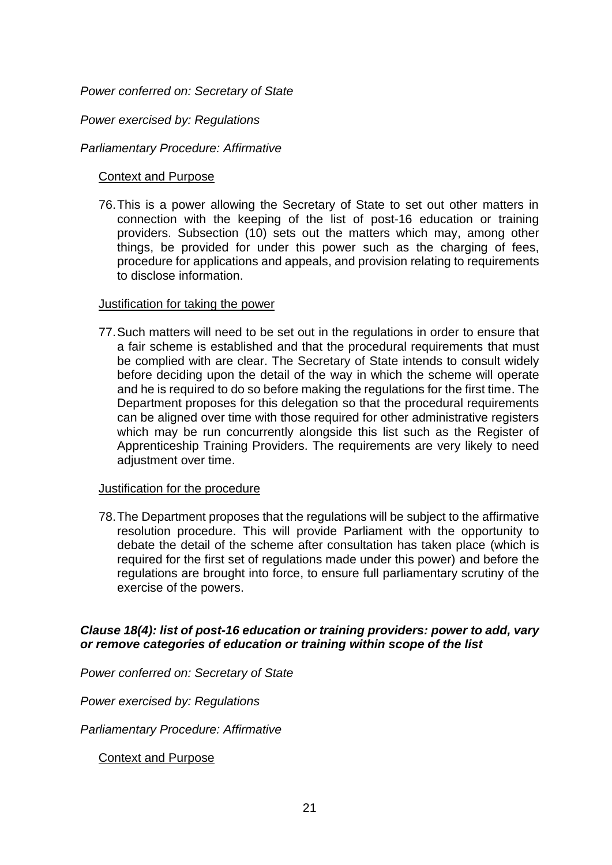### *Power conferred on: Secretary of State*

### *Power exercised by: Regulations*

### *Parliamentary Procedure: Affirmative*

### Context and Purpose

76.This is a power allowing the Secretary of State to set out other matters in connection with the keeping of the list of post-16 education or training providers. Subsection (10) sets out the matters which may, among other things, be provided for under this power such as the charging of fees, procedure for applications and appeals, and provision relating to requirements to disclose information.

#### Justification for taking the power

77.Such matters will need to be set out in the regulations in order to ensure that a fair scheme is established and that the procedural requirements that must be complied with are clear. The Secretary of State intends to consult widely before deciding upon the detail of the way in which the scheme will operate and he is required to do so before making the regulations for the first time. The Department proposes for this delegation so that the procedural requirements can be aligned over time with those required for other administrative registers which may be run concurrently alongside this list such as the Register of Apprenticeship Training Providers. The requirements are very likely to need adjustment over time.

#### Justification for the procedure

78.The Department proposes that the regulations will be subject to the affirmative resolution procedure. This will provide Parliament with the opportunity to debate the detail of the scheme after consultation has taken place (which is required for the first set of regulations made under this power) and before the regulations are brought into force, to ensure full parliamentary scrutiny of the exercise of the powers.

### *Clause 18(4): list of post-16 education or training providers: power to add, vary or remove categories of education or training within scope of the list*

*Power conferred on: Secretary of State* 

*Power exercised by: Regulations*

*Parliamentary Procedure: Affirmative* 

Context and Purpose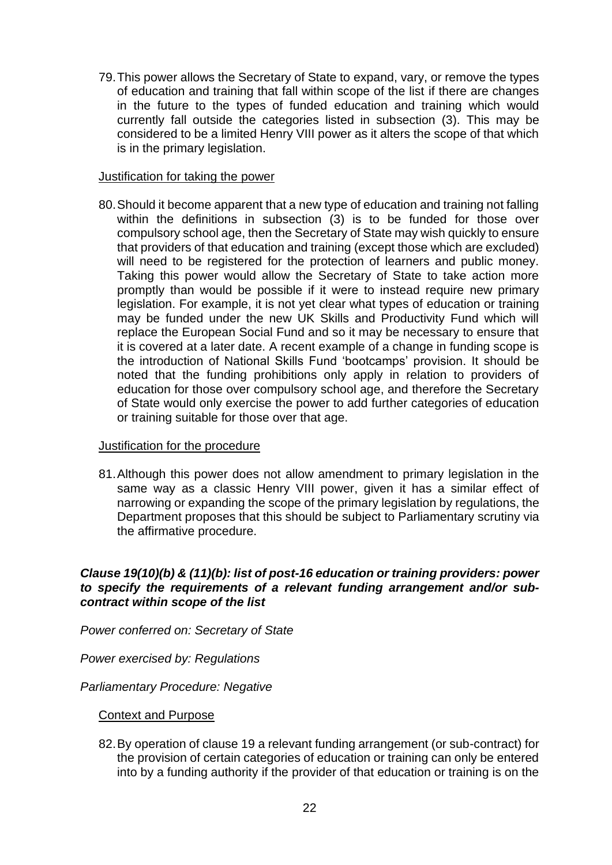79.This power allows the Secretary of State to expand, vary, or remove the types of education and training that fall within scope of the list if there are changes in the future to the types of funded education and training which would currently fall outside the categories listed in subsection (3). This may be considered to be a limited Henry VIII power as it alters the scope of that which is in the primary legislation.

## Justification for taking the power

80.Should it become apparent that a new type of education and training not falling within the definitions in subsection (3) is to be funded for those over compulsory school age, then the Secretary of State may wish quickly to ensure that providers of that education and training (except those which are excluded) will need to be registered for the protection of learners and public money. Taking this power would allow the Secretary of State to take action more promptly than would be possible if it were to instead require new primary legislation. For example, it is not yet clear what types of education or training may be funded under the new UK Skills and Productivity Fund which will replace the European Social Fund and so it may be necessary to ensure that it is covered at a later date. A recent example of a change in funding scope is the introduction of National Skills Fund 'bootcamps' provision. It should be noted that the funding prohibitions only apply in relation to providers of education for those over compulsory school age, and therefore the Secretary of State would only exercise the power to add further categories of education or training suitable for those over that age.

#### Justification for the procedure

81.Although this power does not allow amendment to primary legislation in the same way as a classic Henry VIII power, given it has a similar effect of narrowing or expanding the scope of the primary legislation by regulations, the Department proposes that this should be subject to Parliamentary scrutiny via the affirmative procedure.

## *Clause 19(10)(b) & (11)(b): list of post-16 education or training providers: power to specify the requirements of a relevant funding arrangement and/or subcontract within scope of the list*

*Power conferred on: Secretary of State* 

*Power exercised by: Regulations*

*Parliamentary Procedure: Negative* 

## Context and Purpose

82.By operation of clause 19 a relevant funding arrangement (or sub-contract) for the provision of certain categories of education or training can only be entered into by a funding authority if the provider of that education or training is on the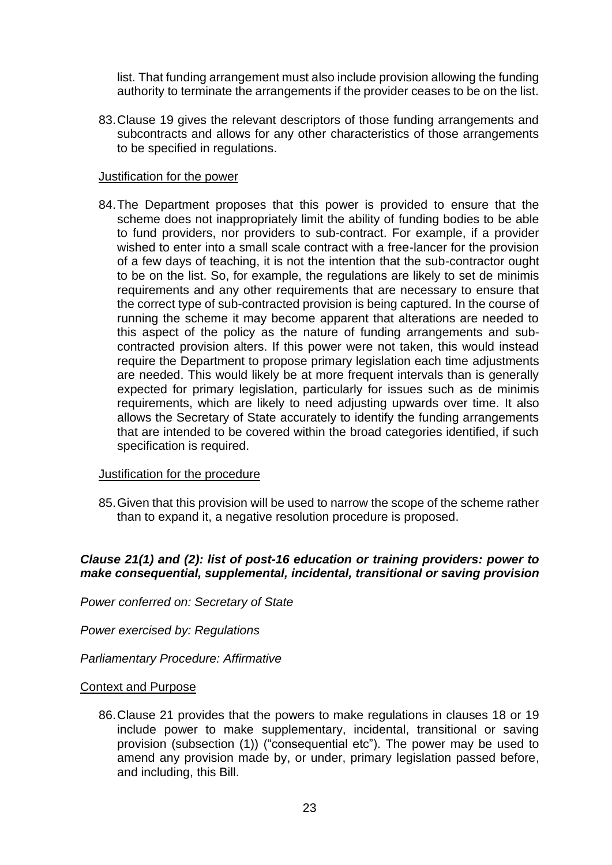list. That funding arrangement must also include provision allowing the funding authority to terminate the arrangements if the provider ceases to be on the list.

83.Clause 19 gives the relevant descriptors of those funding arrangements and subcontracts and allows for any other characteristics of those arrangements to be specified in regulations.

### Justification for the power

84.The Department proposes that this power is provided to ensure that the scheme does not inappropriately limit the ability of funding bodies to be able to fund providers, nor providers to sub-contract. For example, if a provider wished to enter into a small scale contract with a free-lancer for the provision of a few days of teaching, it is not the intention that the sub-contractor ought to be on the list. So, for example, the regulations are likely to set de minimis requirements and any other requirements that are necessary to ensure that the correct type of sub-contracted provision is being captured. In the course of running the scheme it may become apparent that alterations are needed to this aspect of the policy as the nature of funding arrangements and subcontracted provision alters. If this power were not taken, this would instead require the Department to propose primary legislation each time adjustments are needed. This would likely be at more frequent intervals than is generally expected for primary legislation, particularly for issues such as de minimis requirements, which are likely to need adjusting upwards over time. It also allows the Secretary of State accurately to identify the funding arrangements that are intended to be covered within the broad categories identified, if such specification is required.

#### Justification for the procedure

85.Given that this provision will be used to narrow the scope of the scheme rather than to expand it, a negative resolution procedure is proposed.

## *Clause 21(1) and (2): list of post-16 education or training providers: power to make consequential, supplemental, incidental, transitional or saving provision*

*Power conferred on: Secretary of State* 

*Power exercised by: Regulations*

*Parliamentary Procedure: Affirmative* 

#### Context and Purpose

86.Clause 21 provides that the powers to make regulations in clauses 18 or 19 include power to make supplementary, incidental, transitional or saving provision (subsection (1)) ("consequential etc"). The power may be used to amend any provision made by, or under, primary legislation passed before, and including, this Bill.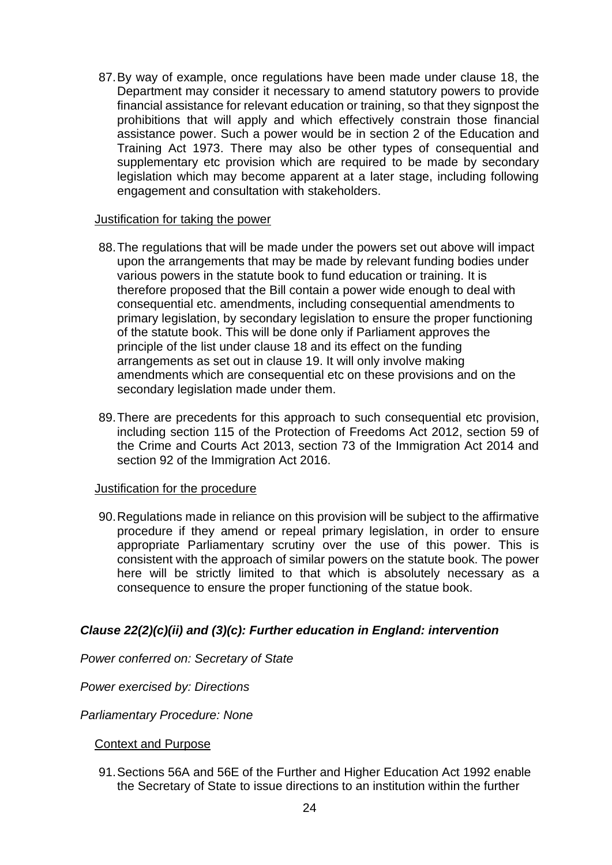87.By way of example, once regulations have been made under clause 18, the Department may consider it necessary to amend statutory powers to provide financial assistance for relevant education or training, so that they signpost the prohibitions that will apply and which effectively constrain those financial assistance power. Such a power would be in section 2 of the Education and Training Act 1973. There may also be other types of consequential and supplementary etc provision which are required to be made by secondary legislation which may become apparent at a later stage, including following engagement and consultation with stakeholders.

#### Justification for taking the power

- 88.The regulations that will be made under the powers set out above will impact upon the arrangements that may be made by relevant funding bodies under various powers in the statute book to fund education or training. It is therefore proposed that the Bill contain a power wide enough to deal with consequential etc. amendments, including consequential amendments to primary legislation, by secondary legislation to ensure the proper functioning of the statute book. This will be done only if Parliament approves the principle of the list under clause 18 and its effect on the funding arrangements as set out in clause 19. It will only involve making amendments which are consequential etc on these provisions and on the secondary legislation made under them.
- 89.There are precedents for this approach to such consequential etc provision, including section 115 of the Protection of Freedoms Act 2012, section 59 of the Crime and Courts Act 2013, section 73 of the Immigration Act 2014 and section 92 of the Immigration Act 2016.

#### Justification for the procedure

90.Regulations made in reliance on this provision will be subject to the affirmative procedure if they amend or repeal primary legislation, in order to ensure appropriate Parliamentary scrutiny over the use of this power. This is consistent with the approach of similar powers on the statute book. The power here will be strictly limited to that which is absolutely necessary as a consequence to ensure the proper functioning of the statue book.

## *Clause 22(2)(c)(ii) and (3)(c): Further education in England: intervention*

*Power conferred on: Secretary of State*

*Power exercised by: Directions*

*Parliamentary Procedure: None*

Context and Purpose

91.Sections 56A and 56E of the Further and Higher Education Act 1992 enable the Secretary of State to issue directions to an institution within the further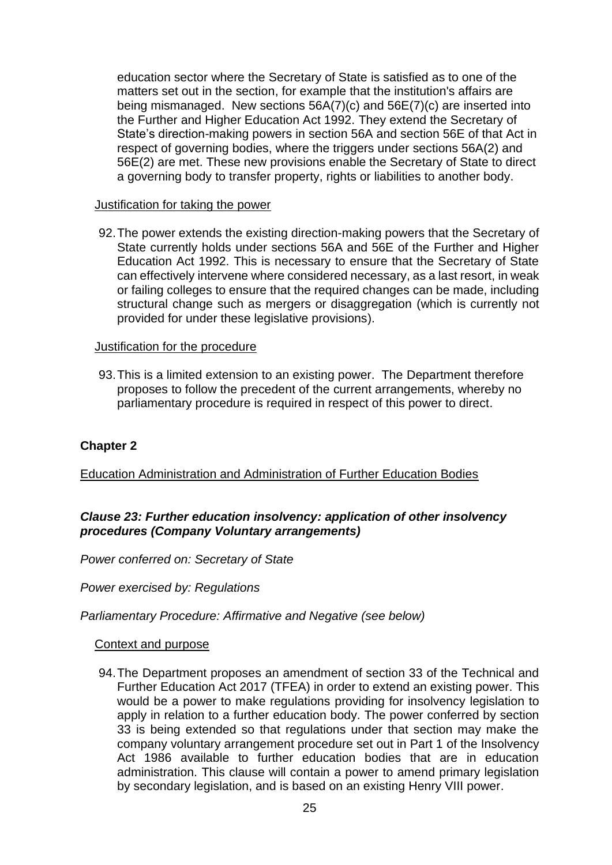education sector where the Secretary of State is satisfied as to one of the matters set out in the section, for example that the institution's affairs are being mismanaged. New sections 56A(7)(c) and 56E(7)(c) are inserted into the Further and Higher Education Act 1992. They extend the Secretary of State's direction-making powers in section 56A and section 56E of that Act in respect of governing bodies, where the triggers under sections 56A(2) and 56E(2) are met. These new provisions enable the Secretary of State to direct a governing body to transfer property, rights or liabilities to another body.

### Justification for taking the power

92.The power extends the existing direction-making powers that the Secretary of State currently holds under sections 56A and 56E of the Further and Higher Education Act 1992. This is necessary to ensure that the Secretary of State can effectively intervene where considered necessary, as a last resort, in weak or failing colleges to ensure that the required changes can be made, including structural change such as mergers or disaggregation (which is currently not provided for under these legislative provisions).

### Justification for the procedure

93.This is a limited extension to an existing power. The Department therefore proposes to follow the precedent of the current arrangements, whereby no parliamentary procedure is required in respect of this power to direct.

## **Chapter 2**

## Education Administration and Administration of Further Education Bodies

## *Clause 23: Further education insolvency: application of other insolvency procedures (Company Voluntary arrangements)*

*Power conferred on: Secretary of State*

*Power exercised by: Regulations*

*Parliamentary Procedure: Affirmative and Negative (see below)*

#### Context and purpose

94.The Department proposes an amendment of section 33 of the Technical and Further Education Act 2017 (TFEA) in order to extend an existing power. This would be a power to make regulations providing for insolvency legislation to apply in relation to a further education body. The power conferred by section 33 is being extended so that regulations under that section may make the company voluntary arrangement procedure set out in Part 1 of the Insolvency Act 1986 available to further education bodies that are in education administration. This clause will contain a power to amend primary legislation by secondary legislation, and is based on an existing Henry VIII power.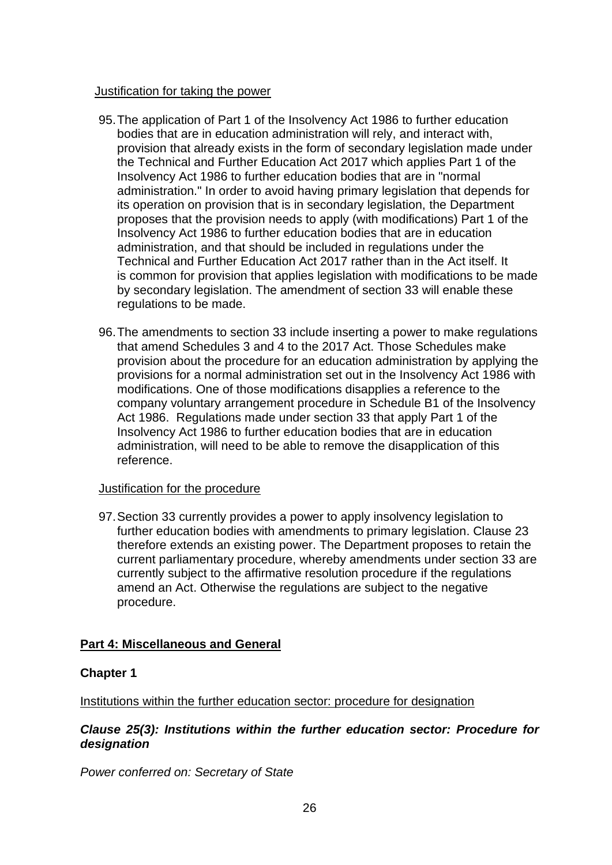### Justification for taking the power

- 95.The application of Part 1 of the Insolvency Act 1986 to further education bodies that are in education administration will rely, and interact with, provision that already exists in the form of secondary legislation made under the Technical and Further Education Act 2017 which applies Part 1 of the Insolvency Act 1986 to further education bodies that are in "normal administration." In order to avoid having primary legislation that depends for its operation on provision that is in secondary legislation, the Department proposes that the provision needs to apply (with modifications) Part 1 of the Insolvency Act 1986 to further education bodies that are in education administration, and that should be included in regulations under the Technical and Further Education Act 2017 rather than in the Act itself. It is common for provision that applies legislation with modifications to be made by secondary legislation. The amendment of section 33 will enable these regulations to be made.
- 96.The amendments to section 33 include inserting a power to make regulations that amend Schedules 3 and 4 to the 2017 Act. Those Schedules make provision about the procedure for an education administration by applying the provisions for a normal administration set out in the Insolvency Act 1986 with modifications. One of those modifications disapplies a reference to the company voluntary arrangement procedure in Schedule B1 of the Insolvency Act 1986. Regulations made under section 33 that apply Part 1 of the Insolvency Act 1986 to further education bodies that are in education administration, will need to be able to remove the disapplication of this reference.

#### Justification for the procedure

97.Section 33 currently provides a power to apply insolvency legislation to further education bodies with amendments to primary legislation. Clause 23 therefore extends an existing power. The Department proposes to retain the current parliamentary procedure, whereby amendments under section 33 are currently subject to the affirmative resolution procedure if the regulations amend an Act. Otherwise the regulations are subject to the negative procedure.

## **Part 4: Miscellaneous and General**

## **Chapter 1**

Institutions within the further education sector: procedure for designation

## *Clause 25(3): Institutions within the further education sector: Procedure for designation*

*Power conferred on: Secretary of State*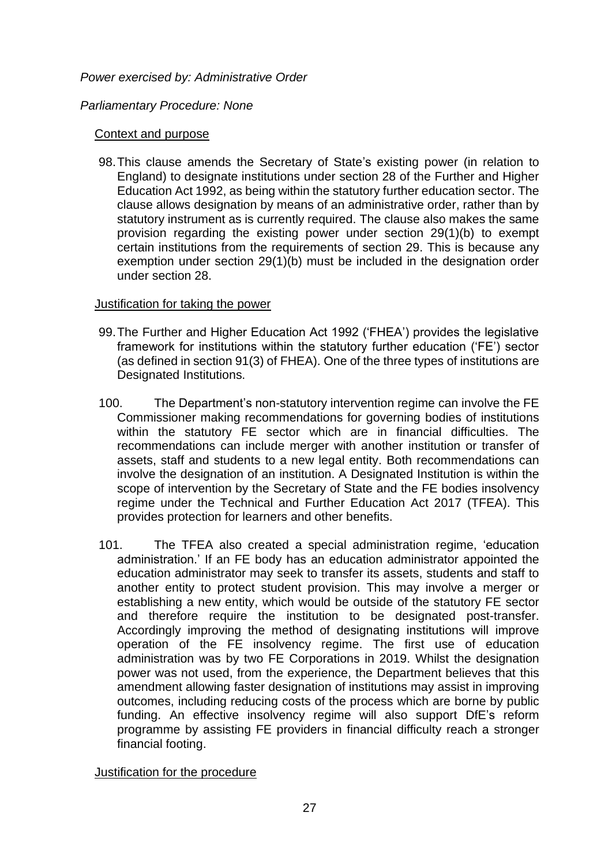### *Power exercised by: Administrative Order*

### *Parliamentary Procedure: None*

### Context and purpose

98.This clause amends the Secretary of State's existing power (in relation to England) to designate institutions under section 28 of the Further and Higher Education Act 1992, as being within the statutory further education sector. The clause allows designation by means of an administrative order, rather than by statutory instrument as is currently required. The clause also makes the same provision regarding the existing power under section 29(1)(b) to exempt certain institutions from the requirements of section 29. This is because any exemption under section 29(1)(b) must be included in the designation order under section 28.

## Justification for taking the power

- 99.The Further and Higher Education Act 1992 ('FHEA') provides the legislative framework for institutions within the statutory further education ('FE') sector (as defined in section 91(3) of FHEA). One of the three types of institutions are Designated Institutions.
- 100. The Department's non-statutory intervention regime can involve the FE Commissioner making recommendations for governing bodies of institutions within the statutory FE sector which are in financial difficulties. The recommendations can include merger with another institution or transfer of assets, staff and students to a new legal entity. Both recommendations can involve the designation of an institution. A Designated Institution is within the scope of intervention by the Secretary of State and the FE bodies insolvency regime under the Technical and Further Education Act 2017 (TFEA). This provides protection for learners and other benefits.
- 101. The TFEA also created a special administration regime, 'education administration.' If an FE body has an education administrator appointed the education administrator may seek to transfer its assets, students and staff to another entity to protect student provision. This may involve a merger or establishing a new entity, which would be outside of the statutory FE sector and therefore require the institution to be designated post-transfer. Accordingly improving the method of designating institutions will improve operation of the FE insolvency regime. The first use of education administration was by two FE Corporations in 2019. Whilst the designation power was not used, from the experience, the Department believes that this amendment allowing faster designation of institutions may assist in improving outcomes, including reducing costs of the process which are borne by public funding. An effective insolvency regime will also support DfE's reform programme by assisting FE providers in financial difficulty reach a stronger financial footing.

Justification for the procedure